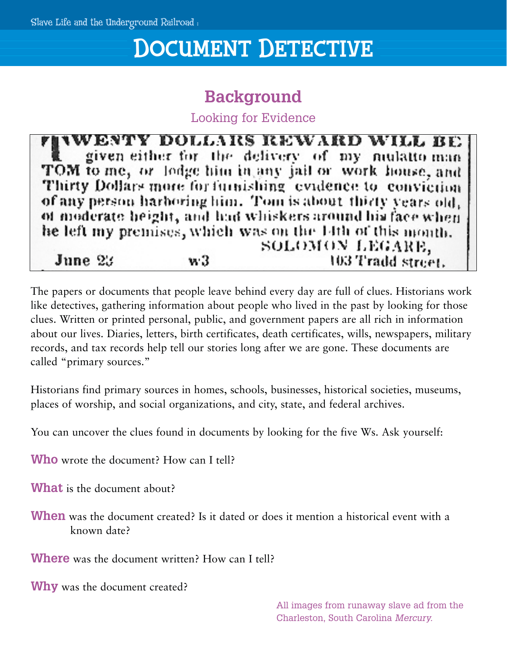# DOCUMENT DETECTIVE

## **Background**

Looking for Evidence

**WENTY DOLLARS REWARD WILL BE** given either for the delivery of my mulatto-man TOM to me, or lodge him in any jail or work house, and Thirty Dollars more for furnishing evidence to conviction of any person harboring him. Tom is about thirty years old, of moderate height, and had whiskers around his face when he left my premises, which was on the 14th of this month. SOLOMON LEGARE,  $v.3$ 103 Tradd street. June  $23$ 

The papers or documents that people leave behind every day are full of clues. Historians work like detectives, gathering information about people who lived in the past by looking for those clues. Written or printed personal, public, and government papers are all rich in information about our lives. Diaries, letters, birth certificates, death certificates, wills, newspapers, military records, and tax records help tell our stories long after we are gone. These documents are called "primary sources."

Historians find primary sources in homes, schools, businesses, historical societies, museums, places of worship, and social organizations, and city, state, and federal archives.

You can uncover the clues found in documents by looking for the five Ws. Ask yourself:

**Who** wrote the document? How can I tell?

**What** is the document about?

**When** was the document created? Is it dated or does it mention a historical event with a known date?

**Where** was the document written? How can I tell?

**Why** was the document created?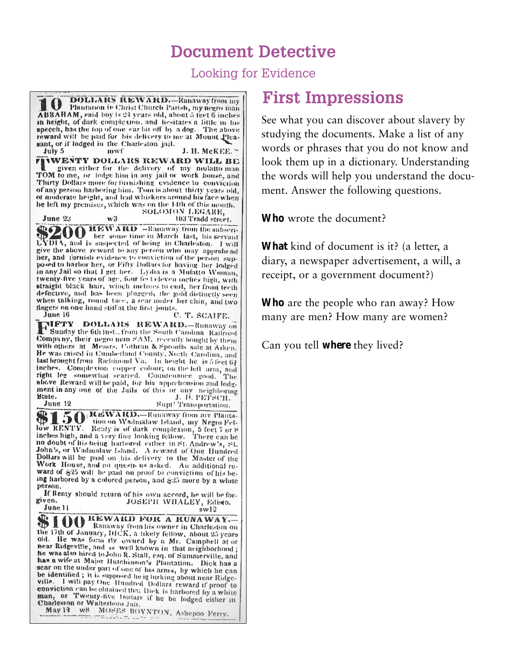#### **Document Detective**

Looking for Evidence

**DOLLARS REWARD.**-Ranaway from my 10 Plantation to Christ Church Parish, my negro man-ABRAHAM, said boy is 24 years old, about 5 feet 6 inches in height, of dark complexion, and hesitates a little in his speech, has the top of one car bit off by a dog. The above reward will be paid for bis delivery to me at Mount Pleasant, or if lodged in the Charleston jail. July 5 mwf J. H. McKEE. ~ **FIVWENTY DOLLARS REWARD WILL BE** given either for the delivery of my nudatto-man-TOM to me, or lodge him in any jail or work house, and Thirty Dollars more for furnishing evidence to conviction of any person harboring him. Tom is about thirty years old, of moderate height, and had whiskers around his face when he left my premises, which was on the 14th of this month. SOLOMON LEGARE. 103 Tradd street. June 23 **SZOO** REWARD -Banaway from the subseries. ber some time in March last, his servant LYDIA, and is suspected of being in Charleston. I will give the above reward to any person who may apprehend her, and furnish evidence to conviction of the person supposed to harbor her, or Fifty Dollars for having her lodged in any Jail so that I get her. Lydia is a Mulatto Woman, twenty-five years of age, four fee televen mehes high, write straight black hair, winch melnes to curl, her front tecth defective, and has been plugged, the gold distinctly seen<br>when talking, round face, a sear under her chin, and two fingers on one hand stiff at the first joints. C. T. SCAIFE. June 16 **THETY DOLLARS REWARD.** Runaway on Company, their negro man SAM, recently bought by them with others at Messrs. Cothran & Sproults sale at Aiken. He was raised in Cumberland County, North Carolina, and last brought from Richmond Va. In height he is 5 feet 62 instance Complexion compete colour on the eff arm, and right leg somewhat scarred. Countenance good. The above Reward will be paid, for his apprehension and lodgabove reward will be paid, for his apprehension and lodg-<br>ment in any one of the Jails of this or any neighboring<br>Blate.<br>discovery of the Jails of this or any neighboring<br> $\frac{1}{2}$ . D. PETSCH.  $_{\text{June 12}}$ Supt' Transportation. **SI 50** REWARD.-Runaway from my Planta-The RENTY. Renty is of dark complexion, 5 feet 7 or 8 inches high, and a very fine looking fellow. There can be no doubt of his being harbored cither in St. Andrew's, St. John's, or Wadmalaw Island. A reward of One Hundred Dollars will be paid on his delivery to the Master of the Work House, and no questions asked. An additional reward of \$25 will be paid on proof to conviction of his being harbored by a colored person, and \$25 more by a white person. If Renty should return of his own accord, he will be forgiven. JOSEPH WHALEY, Edisto. June 11  $swl2$ **STOO** REWARD FOR A RUNAWAY. the 17th of January, DECK, a likely fellow, about 25 years<br>old. He was form by owned by a Mr. Campbell at or<br>near Ridgeville, and is well by a Mr. Campbell at or near Ridgeville, and is well known in that neighborhood; near magevitie, and is well known in that neighborhood ;<br>he was also hired to John R. Stall, ead, of Summerville, and<br>has a wife at Maior Untohington, Burnham Bille, and has a wife at Major Hutchinson's Plantation. Dick has a sear on the under part of one of his arms, by which he can<br>be identified: it is summond to this arms, by which he can be identified; it is supposed be ight annoy by which he can<br>be identified; it is supposed be ight king about near Ridgebe meaning a to a supposed helig linking about near Ridge-<br>ville. I will pay One Hundred Dollars reward if proof to conviction can be obtained under the harbored by a white<br>conviction can be obtained that Dick is harbored by a white man, or Twenty-five boundary that the starbored by a white<br>man, or Twenty-five boulars if he be lodged either in Charleston or Walterboro Jair. May 13 w8 MOSES BOYNTON, Ashepoo Ferry. material and the second state of

#### **First Impressions**

See what you can discover about slavery by studying the documents. Make a list of any words or phrases that you do not know and look them up in a dictionary. Understanding the words will help you understand the document. Answer the following questions.

**Who** wrote the document?

**What** kind of document is it? (a letter, a diary, a newspaper advertisement, a will, a receipt, or a government document?)

**Who** are the people who ran away? How many are men? How many are women?

Can you tell **where** they lived?